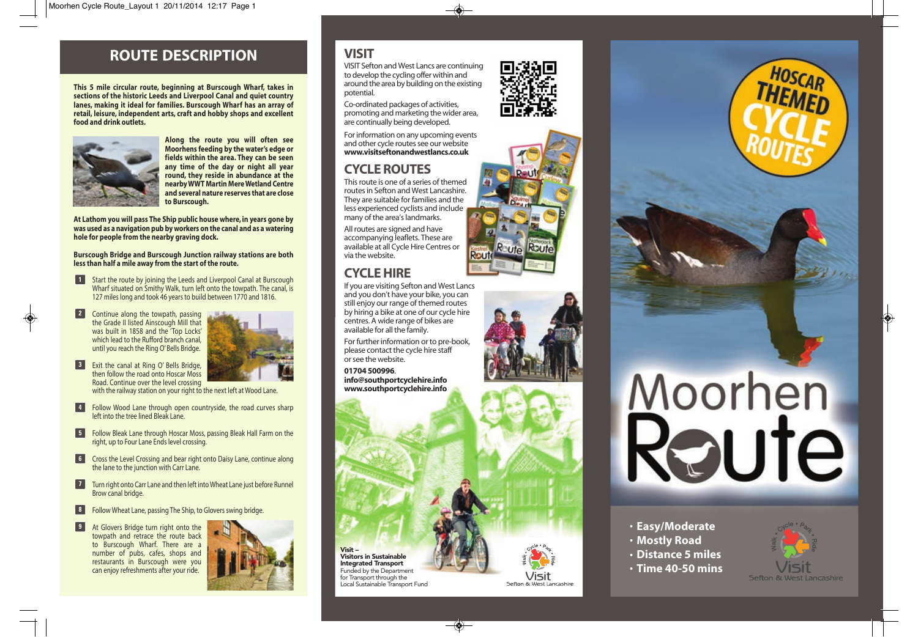## **ROUTE DESCRIPTION**

**This 5 mile circular route, beginning at Burscough Wharf, takes in sections of the historic Leeds and Liverpool Canal and quiet country lanes, making it ideal for families. Burscough Wharf has an array of retail, leisure, independent arts, craft and hobby shops and excellent food and drink outlets.**



**Along the route you will often see Moorhens feeding by the water's edge or fields within the area. They can be seen any time of the day or night all year round, they reside in abundance at the nearby WWT Martin Mere Wetland Centre and several nature reserves that are close to Burscough.**

**At Lathom you will pass The Ship public house where, in years gone by was used as a navigation pub by workers on the canal and as a watering hole for people from the nearby graving dock.** 

**Burscough Bridge and Burscough Junction railway stations are both less than half a mile away from the start of the route.**

- **1** Start the route by joining the Leeds and Liverpool Canal at Burscough Wharf situated on Smithy Walk, turn left onto the towpath. The canal, is 127 miles long and took 46 years to build between 1770 and 1816.
- **2** Continue along the towpath, passing the Grade II listed Ainscough Mill that was built in 1858 and the 'Top Locks' which lead to the Rufford branch canal. until you reach the Ring O' Bells Bridge.



**B** Exit the canal at Ring O' Bells Bridge, then follow the road onto Hoscar Moss Road. Continue over the level crossing

with the railway station on your right to the next left at Wood Lane.

- **Follow Wood Lane through open countryside, the road curves sharp** left into the tree lined Bleak Lane.
- **Follow Bleak Lane through Hoscar Moss, passing Bleak Hall Farm on the** right, up to Four Lane Ends level crossing.
- **6** Cross the Level Crossing and bear right onto Daisy Lane, continue along the lane to the junction with Carr Lane.
- **Turn right onto Carr Lane and then left into Wheat Lane just before Runnel** Brow canal bridge.
- **8** Follow Wheat Lane, passing The Ship, to Glovers swing bridge.
- **9** At Glovers Bridge turn right onto the towpath and retrace the route back to Burscough Wharf. There are a number of pubs, cafes, shops and restaurants in Burscough were you can enjoy refreshments after your ride .



## **VISIT**

VISIT Sefton and West Lancs are continuing to develop the cycling offer within and around the area by building on the existing potential.

Co-ordinated packages of activities, promoting and marketing the wider area, are continually being developed.

For information on any upcoming events and other cycle routes see our website **www.visitseftonandwestlancs.co.uk**

## **CYCLE ROUTES**

This route is one of a series of themed routes in Sefton and West Lancashire. They are suitable for families and the less experienced cyclists and include many of the area's landmarks.

All routes are signed and have accompanying leaflets. These are available at all Cycle Hire Centres or via the website.

## **CYCLE HIRE**

If you are visiting Sefton and West Lancs and you don't have your bike, you can still enjoy our range of themed routes by hiring a bike at one of our cycle hire centres. A wide range of bikes are available for all the family.

For further information or to pre-book, please contact the cycle hire staff or see the website.

**01704 500996** . **info@southportcyclehire.info www.southportcyclehire.info**

Visit –

Visitors in Sustainable Integrated Transport Funded by the Department for Transport through the Local Sustainable Transport Fund













- 
- **Mostly Road**
- **Distance 5 miles**
- **Time 40-50 mins**



Sefton & West Lan